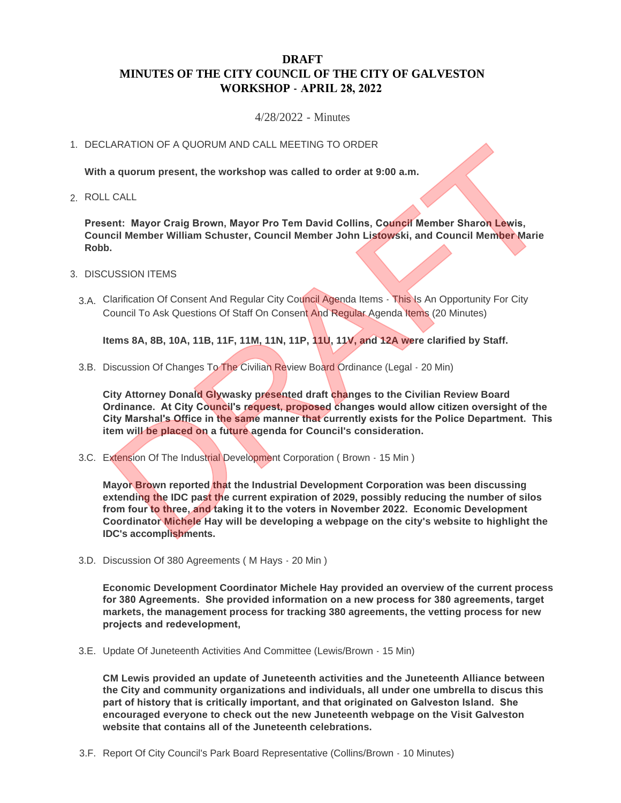## **DRAFT MINUTES OF THE CITY COUNCIL OF THE CITY OF GALVESTON WORKSHOP - APRIL 28, 2022**

4/28/2022 - Minutes

## 1. DECLARATION OF A QUORUM AND CALL MEETING TO ORDER

**With a quorum present, the workshop was called to order at 9:00 a.m.**

ROLL CALL 2.

**Present: Mayor Craig Brown, Mayor Pro Tem David Collins, Council Member Sharon Lewis, Council Member William Schuster, Council Member John Listowski, and Council Member Marie Robb.**

- 3. DISCUSSION ITEMS
	- 3.A. Clarification Of Consent And Regular City Council Agenda Items This Is An Opportunity For City Council To Ask Questions Of Staff On Consent And Regular Agenda Items (20 Minutes)

**Items 8A, 8B, 10A, 11B, 11F, 11M, 11N, 11P, 11U, 11V, and 12A were clarified by Staff.**

3.B. Discussion Of Changes To The Civilian Review Board Ordinance (Legal - 20 Min)

**City Attorney Donald Glywasky presented draft changes to the Civilian Review Board Ordinance. At City Council's request, proposed changes would allow citizen oversight of the City Marshal's Office in the same manner that currently exists for the Police Department. This item will be placed on a future agenda for Council's consideration.**

3.C. Extension Of The Industrial Development Corporation (Brown - 15 Min)

**Mayor Brown reported that the Industrial Development Corporation was been discussing extending the IDC past the current expiration of 2029, possibly reducing the number of silos from four to three, and taking it to the voters in November 2022. Economic Development Coordinator Michele Hay will be developing a webpage on the city's website to highlight the IDC's accomplishments.** ARATION OF A QUORUM AND CALL MEETING TO ORDER<br>
a quorum present, the workshop was called to order at 9:00 a.m.<br>
cALL<br>
ent: Mayor Craig Brown, Mayor Pro Tem David Collins, Council Member Sharon Lewis,<br>
DESION ITEMS<br>
USSION

3.D. Discussion Of 380 Agreements (M Hays - 20 Min)

**Economic Development Coordinator Michele Hay provided an overview of the current process for 380 Agreements. She provided information on a new process for 380 agreements, target markets, the management process for tracking 380 agreements, the vetting process for new projects and redevelopment,** 

3.E. Update Of Juneteenth Activities And Committee (Lewis/Brown - 15 Min)

**CM Lewis provided an update of Juneteenth activities and the Juneteenth Alliance between the City and community organizations and individuals, all under one umbrella to discus this part of history that is critically important, and that originated on Galveston Island. She encouraged everyone to check out the new Juneteenth webpage on the Visit Galveston website that contains all of the Juneteenth celebrations.**

3.F. Report Of City Council's Park Board Representative (Collins/Brown - 10 Minutes)